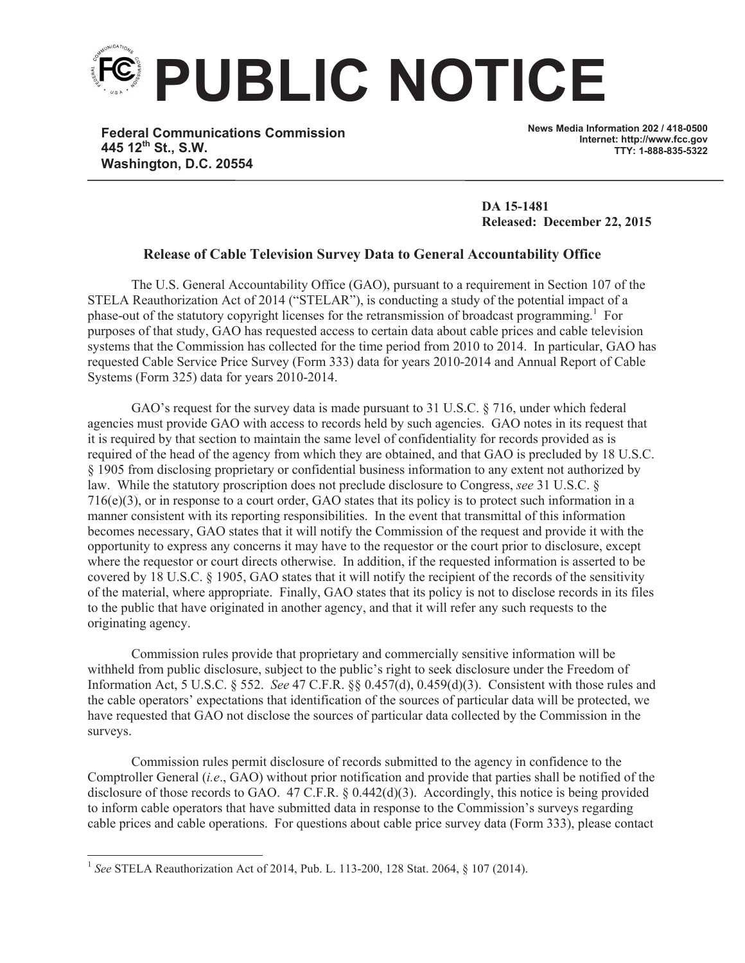

**Federal Communications Commission 445 12th St., S.W. Washington, D.C. 20554**

**News Media Information 202 / 418-0500 Internet: http://www.fcc.gov TTY: 1-888-835-5322**

**DA 15-1481 Released: December 22, 2015** 

## **Release of Cable Television Survey Data to General Accountability Office**

The U.S. General Accountability Office (GAO), pursuant to a requirement in Section 107 of the STELA Reauthorization Act of 2014 ("STELAR"), is conducting a study of the potential impact of a phase-out of the statutory copyright licenses for the retransmission of broadcast programming.<sup>1</sup> For purposes of that study, GAO has requested access to certain data about cable prices and cable television systems that the Commission has collected for the time period from 2010 to 2014. In particular, GAO has requested Cable Service Price Survey (Form 333) data for years 2010-2014 and Annual Report of Cable Systems (Form 325) data for years 2010-2014.

GAO's request for the survey data is made pursuant to 31 U.S.C. § 716, under which federal agencies must provide GAO with access to records held by such agencies. GAO notes in its request that it is required by that section to maintain the same level of confidentiality for records provided as is required of the head of the agency from which they are obtained, and that GAO is precluded by 18 U.S.C. § 1905 from disclosing proprietary or confidential business information to any extent not authorized by law. While the statutory proscription does not preclude disclosure to Congress, *see* 31 U.S.C. § 716(e)(3), or in response to a court order, GAO states that its policy is to protect such information in a manner consistent with its reporting responsibilities. In the event that transmittal of this information becomes necessary, GAO states that it will notify the Commission of the request and provide it with the opportunity to express any concerns it may have to the requestor or the court prior to disclosure, except where the requestor or court directs otherwise. In addition, if the requested information is asserted to be covered by 18 U.S.C. § 1905, GAO states that it will notify the recipient of the records of the sensitivity of the material, where appropriate. Finally, GAO states that its policy is not to disclose records in its files to the public that have originated in another agency, and that it will refer any such requests to the originating agency.

Commission rules provide that proprietary and commercially sensitive information will be withheld from public disclosure, subject to the public's right to seek disclosure under the Freedom of Information Act, 5 U.S.C. § 552. *See* 47 C.F.R. §§ 0.457(d), 0.459(d)(3). Consistent with those rules and the cable operators' expectations that identification of the sources of particular data will be protected, we have requested that GAO not disclose the sources of particular data collected by the Commission in the surveys.

Commission rules permit disclosure of records submitted to the agency in confidence to the Comptroller General (*i.e*., GAO) without prior notification and provide that parties shall be notified of the disclosure of those records to GAO. 47 C.F.R. § 0.442(d)(3). Accordingly, this notice is being provided to inform cable operators that have submitted data in response to the Commission's surveys regarding cable prices and cable operations. For questions about cable price survey data (Form 333), please contact

<sup>1</sup> *See* STELA Reauthorization Act of 2014, Pub. L. 113-200, 128 Stat. 2064, § 107 (2014).